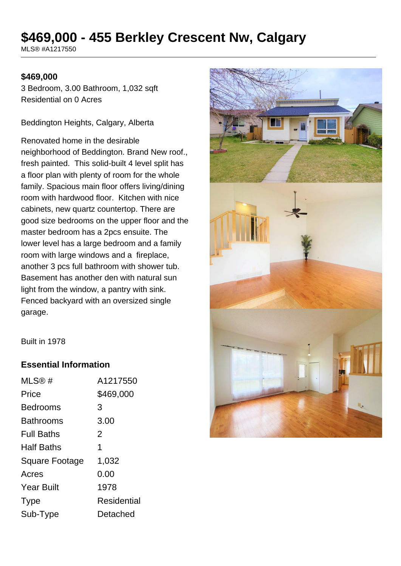# **\$469,000 - 455 Berkley Crescent Nw, Calgary**

MLS® #A1217550

#### **\$469,000**

3 Bedroom, 3.00 Bathroom, 1,032 sqft Residential on 0 Acres

Beddington Heights, Calgary, Alberta

Renovated home in the desirable neighborhood of Beddington. Brand New roof., fresh painted. This solid-built 4 level split has a floor plan with plenty of room for the whole family. Spacious main floor offers living/dining room with hardwood floor. Kitchen with nice cabinets, new quartz countertop. There are good size bedrooms on the upper floor and the master bedroom has a 2pcs ensuite. The lower level has a large bedroom and a family room with large windows and a fireplace, another 3 pcs full bathroom with shower tub. Basement has another den with natural sun light from the window, a pantry with sink. Fenced backyard with an oversized single garage.



Built in 1978

### **Essential Information**

| A1217550    |
|-------------|
| \$469,000   |
| 3           |
| 3.00        |
| 2           |
| 1           |
| 1,032       |
| 0.00        |
| 1978        |
| Residential |
| Detached    |
|             |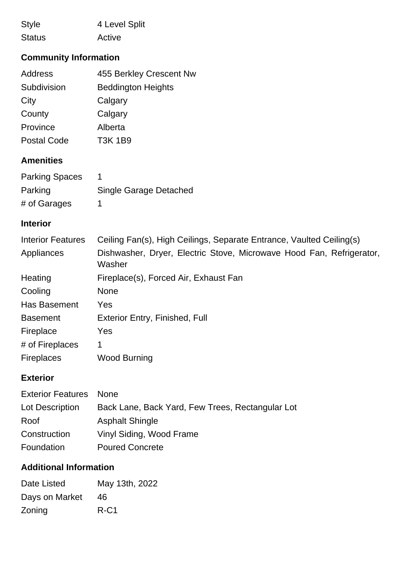| <b>Style</b>  | 4 Level Split |
|---------------|---------------|
| <b>Status</b> | Active        |

# **Community Information**

| Address                  | 455 Berkley Crescent Nw                                                        |
|--------------------------|--------------------------------------------------------------------------------|
| Subdivision              | <b>Beddington Heights</b>                                                      |
| City                     | Calgary                                                                        |
| County                   | Calgary                                                                        |
| Province                 | Alberta                                                                        |
| <b>Postal Code</b>       | <b>T3K 1B9</b>                                                                 |
| <b>Amenities</b>         |                                                                                |
| <b>Parking Spaces</b>    | 1                                                                              |
| Parking                  | <b>Single Garage Detached</b>                                                  |
| # of Garages             | 1                                                                              |
| <b>Interior</b>          |                                                                                |
| <b>Interior Features</b> | Ceiling Fan(s), High Ceilings, Separate Entrance, Vaulted Ceiling(s)           |
| Appliances               | Dishwasher, Dryer, Electric Stove, Microwave Hood Fan, Refrigerator,<br>Washer |
| Heating                  | Fireplace(s), Forced Air, Exhaust Fan                                          |
| Cooling                  | <b>None</b>                                                                    |
| Has Basement             | Yes                                                                            |
| <b>Basement</b>          | <b>Exterior Entry, Finished, Full</b>                                          |
| Fireplace                | Yes                                                                            |
| # of Fireplaces          | 1                                                                              |
| <b>Fireplaces</b>        | <b>Wood Burning</b>                                                            |
|                          |                                                                                |

### **Exterior**

| <b>Exterior Features None</b> |                                                  |
|-------------------------------|--------------------------------------------------|
| Lot Description               | Back Lane, Back Yard, Few Trees, Rectangular Lot |
| Roof                          | <b>Asphalt Shingle</b>                           |
| Construction                  | Vinyl Siding, Wood Frame                         |
| Foundation                    | <b>Poured Concrete</b>                           |

## **Additional Information**

| Date Listed    | May 13th, 2022 |
|----------------|----------------|
| Days on Market | 46             |
| Zoning         | $R-C1$         |